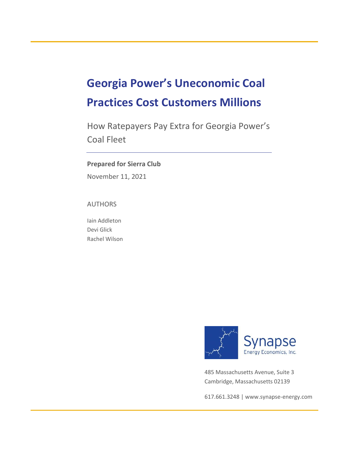# **Georgia Power's Uneconomic Coal Practices Cost Customers Millions**

How Ratepayers Pay Extra for Georgia Power's Coal Fleet

### **Prepared for Sierra Club**

November 11, 2021

AUTHORS

Iain Addleton Devi Glick Rachel Wilson



485 Massachusetts Avenue, Suite 3 Cambridge, Massachusetts 02139

617.661.3248 [| www.synapse-energy.com](http://www.synapse-energy.com/)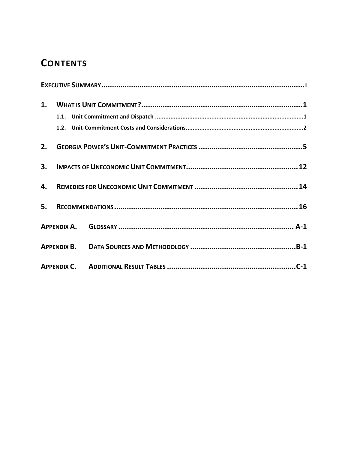## **CONTENTS**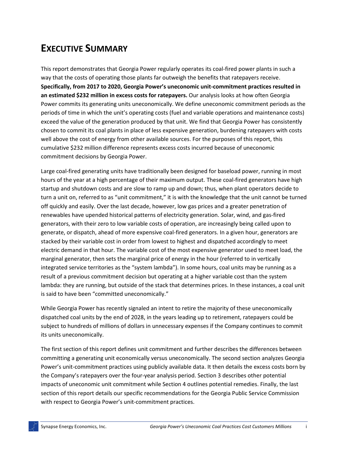## **EXECUTIVE SUMMARY**

This report demonstrates that Georgia Power regularly operates its coal-fired power plants in such a way that the costs of operating those plants far outweigh the benefits that ratepayers receive. **Specifically, from 2017 to 2020, Georgia Power's uneconomic unit-commitment practices resulted in an estimated \$232 million in excess costs for ratepayers.** Our analysis looks at how often Georgia Power commits its generating units uneconomically. We define uneconomic commitment periods as the periods of time in which the unit's operating costs (fuel and variable operations and maintenance costs) exceed the value of the generation produced by that unit. We find that Georgia Power has consistently chosen to commit its coal plants in place of less expensive generation, burdening ratepayers with costs well above the cost of energy from other available sources. For the purposes of this report, this cumulative \$232 million difference represents excess costs incurred because of uneconomic commitment decisions by Georgia Power.

Large coal-fired generating units have traditionally been designed for baseload power, running in most hours of the year at a high percentage of their maximum output. These coal-fired generators have high startup and shutdown costs and are slow to ramp up and down; thus, when plant operators decide to turn a unit on, referred to as "unit commitment," it is with the knowledge that the unit cannot be turned off quickly and easily. Over the last decade, however, low gas prices and a greater penetration of renewables have upended historical patterns of electricity generation. Solar, wind, and gas-fired generators, with their zero to low variable costs of operation, are increasingly being called upon to generate, or dispatch, ahead of more expensive coal-fired generators. In a given hour, generators are stacked by their variable cost in order from lowest to highest and dispatched accordingly to meet electric demand in that hour. The variable cost of the most expensive generator used to meet load, the marginal generator, then sets the marginal price of energy in the hour (referred to in vertically integrated service territories as the "system lambda"). In some hours, coal units may be running as a result of a previous commitment decision but operating at a higher variable cost than the system lambda: they are running, but outside of the stack that determines prices. In these instances, a coal unit is said to have been "committed uneconomically."

While Georgia Power has recently signaled an intent to retire the majority of these uneconomically dispatched coal units by the end of 2028, in the years leading up to retirement, ratepayers could be subject to hundreds of millions of dollars in unnecessary expenses if the Company continues to commit its units uneconomically.

The first section of this report defines unit commitment and further describes the differences between committing a generating unit economically versus uneconomically. The second section analyzes Georgia Power's unit-commitment practices using publicly available data. It then details the excess costs born by the Company's ratepayers over the four-year analysis period. Section [3](#page-14-0) describes other potential impacts of uneconomic unit commitment while Sectio[n 4](#page-16-0) outlines potential remedies. Finally, the last section of this report details our specific recommendations for the Georgia Public Service Commission with respect to Georgia Power's unit-commitment practices.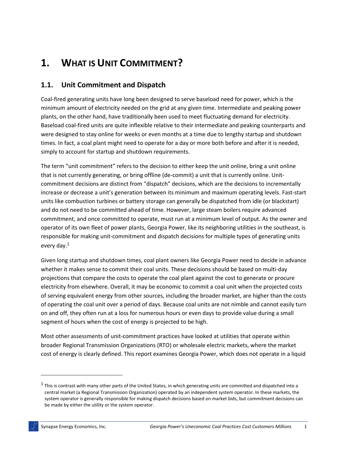# **1. WHAT IS UNIT COMMITMENT?**

### **1.1. Unit Commitment and Dispatch**

Coal-fired generating units have long been designed to serve baseload need for power, which is the minimum amount of electricity needed on the grid at any given time. Intermediate and peaking power plants, on the other hand, have traditionally been used to meet fluctuating demand for electricity. Baseload coal-fired units are quite inflexible relative to their intermediate and peaking counterparts and were designed to stay online for weeks or even months at a time due to lengthy startup and shutdown times. In fact, a coal plant might need to operate for a day or more both before and after it is needed, simply to account for startup and shutdown requirements.

The term "unit commitment" refers to the decision to either keep the unit online, bring a unit online that is not currently generating, or bring offline (de-commit) a unit that is currently online. Unitcommitment decisions are distinct from "dispatch" decisions, which are the decisions to incrementally increase or decrease a unit's generation between its minimum and maximum operating levels. Fast-start units like combustion turbines or battery storage can generally be dispatched from idle (or blackstart) and do not need to be committed ahead of time. However, large steam boilers require advanced commitment, and once committed to operate, must run at a minimum level of output. As the owner and operator of its own fleet of power plants, Georgia Power, like its neighboring utilities in the southeast, is responsible for making unit-commitment and dispatch decisions for multiple types of generating units every day.<sup>1</sup>

Given long startup and shutdown times, coal plant owners like Georgia Power need to decide in advance whether it makes sense to commit their coal units. These decisions should be based on multi-day projections that compare the costs to operate the coal plant against the cost to generate or procure electricity from elsewhere. Overall, it may be economic to commit a coal unit when the projected costs of serving equivalent energy from other sources, including the broader market, are higher than the costs of operating the coal unit over a period of days. Because coal units are not nimble and cannot easily turn on and off, they often run at a loss for numerous hours or even days to provide value during a small segment of hours when the cost of energy is projected to be high.

Most other assessments of unit-commitment practices have looked at utilities that operate within broader Regional Transmission Organizations (RTO) or wholesale electric markets, where the market cost of energy is clearly defined. This report examines Georgia Power, which does not operate in a liquid

 $^1$  This is contrast with many other parts of the United States, in which generating units are committed and dispatched into a central market (a Regional Transmission Organization) operated by an independent system operator. In these markets, the system operator is generally responsible for making dispatch decisions based on market bids, but commitment decisions can be made by either the utility or the system operator.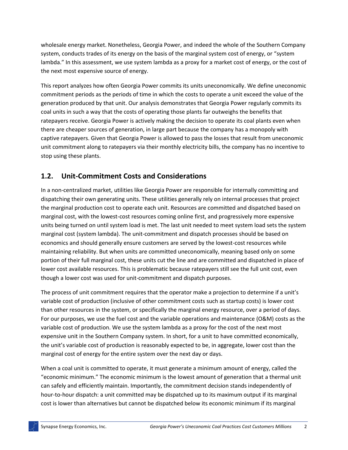wholesale energy market. Nonetheless, Georgia Power, and indeed the whole of the Southern Company system, conducts trades of its energy on the basis of the marginal system cost of energy, or "system lambda." In this assessment, we use system lambda as a proxy for a market cost of energy, or the cost of the next most expensive source of energy.

This report analyzes how often Georgia Power commits its units uneconomically. We define uneconomic commitment periods as the periods of time in which the costs to operate a unit exceed the value of the generation produced by that unit. Our analysis demonstrates that Georgia Power regularly commits its coal units in such a way that the costs of operating those plants far outweighs the benefits that ratepayers receive. Georgia Power is actively making the decision to operate its coal plants even when there are cheaper sources of generation, in large part because the company has a monopoly with captive ratepayers. Given that Georgia Power is allowed to pass the losses that result from uneconomic unit commitment along to ratepayers via their monthly electricity bills, the company has no incentive to stop using these plants.

### **1.2. Unit-Commitment Costs and Considerations**

In a non-centralized market, utilities like Georgia Power are responsible for internally committing and dispatching their own generating units. These utilities generally rely on internal processes that project the marginal production cost to operate each unit. Resources are committed and dispatched based on marginal cost, with the lowest-cost resources coming online first, and progressively more expensive units being turned on until system load is met. The last unit needed to meet system load sets the system marginal cost (system lambda). The unit-commitment and dispatch processes should be based on economics and should generally ensure customers are served by the lowest-cost resources while maintaining reliability. But when units are committed uneconomically, meaning based only on some portion of their full marginal cost, these units cut the line and are committed and dispatched in place of lower cost available resources. This is problematic because ratepayers still see the full unit cost, even though a lower cost was used for unit-commitment and dispatch purposes.

The process of unit commitment requires that the operator make a projection to determine if a unit's variable cost of production (inclusive of other commitment costs such as startup costs) is lower cost than other resources in the system, or specifically the marginal energy resource, over a period of days. For our purposes, we use the fuel cost and the variable operations and maintenance (O&M) costs as the variable cost of production. We use the system lambda as a proxy for the cost of the next most expensive unit in the Southern Company system. In short, for a unit to have committed economically, the unit's variable cost of production is reasonably expected to be, in aggregate, lower cost than the marginal cost of energy for the entire system over the next day or days.

When a coal unit is committed to operate, it must generate a minimum amount of energy, called the "economic minimum." The economic minimum is the lowest amount of generation that a thermal unit can safely and efficiently maintain. Importantly, the commitment decision stands independently of hour-to-hour dispatch: a unit committed may be dispatched up to its maximum output if its marginal cost is lower than alternatives but cannot be dispatched below its economic minimum if its marginal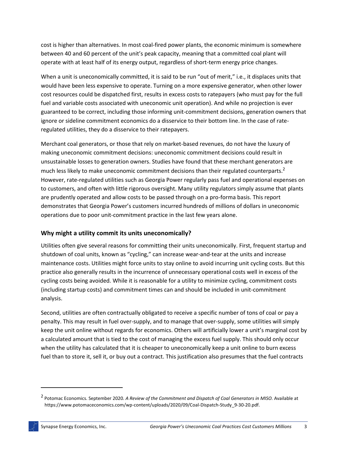cost is higher than alternatives. In most coal-fired power plants, the economic minimum is somewhere between 40 and 60 percent of the unit's peak capacity, meaning that a committed coal plant will operate with at least half of its energy output, regardless of short-term energy price changes.

When a unit is uneconomically committed, it is said to be run "out of merit," i.e., it displaces units that would have been less expensive to operate. Turning on a more expensive generator, when other lower cost resources could be dispatched first, results in excess costs to ratepayers (who must pay for the full fuel and variable costs associated with uneconomic unit operation). And while no projection is ever guaranteed to be correct, including those informing unit-commitment decisions, generation owners that ignore or sideline commitment economics do a disservice to their bottom line. In the case of rateregulated utilities, they do a disservice to their ratepayers.

Merchant coal generators, or those that rely on market-based revenues, do not have the luxury of making uneconomic commitment decisions: uneconomic commitment decisions could result in unsustainable losses to generation owners. Studies have found that these merchant generators are much less likely to make uneconomic commitment decisions than their regulated counterparts.<sup>2</sup> However, rate-regulated utilities such as Georgia Power regularly pass fuel and operational expenses on to customers, and often with little rigorous oversight. Many utility regulators simply assume that plants are prudently operated and allow costs to be passed through on a pro-forma basis. This report demonstrates that Georgia Power's customers incurred hundreds of millions of dollars in uneconomic operations due to poor unit-commitment practice in the last few years alone.

### **Why might a utility commit its units uneconomically?**

Utilities often give several reasons for committing their units uneconomically. First, frequent startup and shutdown of coal units, known as "cycling," can increase wear-and-tear at the units and increase maintenance costs. Utilities might force units to stay online to avoid incurring unit cycling costs. But this practice also generally results in the incurrence of unnecessary operational costs well in excess of the cycling costs being avoided. While it is reasonable for a utility to minimize cycling, commitment costs (including startup costs) and commitment times can and should be included in unit-commitment analysis.

Second, utilities are often contractually obligated to receive a specific number of tons of coal or pay a penalty. This may result in fuel over-supply, and to manage that over-supply, some utilities will simply keep the unit online without regards for economics. Others will artificially lower a unit's marginal cost by a calculated amount that is tied to the cost of managing the excess fuel supply. This should only occur when the utility has calculated that it is cheaper to uneconomically keep a unit online to burn excess fuel than to store it, sell it, or buy out a contract. This justification also presumes that the fuel contracts

<sup>2</sup> Potomac Economics. September 2020. *A Review of the Commitment and Dispatch of Coal Generators in MISO.* Available at https://www.potomaceconomics.com/wp-content/uploads/2020/09/Coal-Dispatch-Study\_9-30-20.pdf.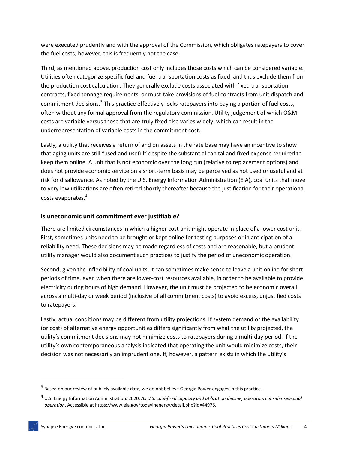were executed prudently and with the approval of the Commission, which obligates ratepayers to cover the fuel costs; however, this is frequently not the case.

Third, as mentioned above, production cost only includes those costs which can be considered variable. Utilities often categorize specific fuel and fuel transportation costs as fixed, and thus exclude them from the production cost calculation. They generally exclude costs associated with fixed transportation contracts, fixed tonnage requirements, or must-take provisions of fuel contracts from unit dispatch and commitment decisions. $3$  This practice effectively locks ratepayers into paying a portion of fuel costs, often without any formal approval from the regulatory commission. Utility judgement of which O&M costs are variable versus those that are truly fixed also varies widely, which can result in the underrepresentation of variable costs in the commitment cost.

Lastly, a utility that receives a return of and on assets in the rate base may have an incentive to show that aging units are still "used and useful" despite the substantial capital and fixed expense required to keep them online. A unit that is not economic over the long run (relative to replacement options) and does not provide economic service on a short-term basis may be perceived as not used or useful and at risk for disallowance. As noted by the U.S. Energy Information Administration (EIA), coal units that move to very low utilizations are often retired shortly thereafter because the justification for their operational costs evaporates.<sup>4</sup>

### **Is uneconomic unit commitment ever justifiable?**

There are limited circumstances in which a higher cost unit might operate in place of a lower cost unit. First, sometimes units need to be brought or kept online for testing purposes or in anticipation of a reliability need. These decisions may be made regardless of costs and are reasonable, but a prudent utility manager would also document such practices to justify the period of uneconomic operation.

Second, given the inflexibility of coal units, it can sometimes make sense to leave a unit online for short periods of time, even when there are lower-cost resources available, in order to be available to provide electricity during hours of high demand. However, the unit must be projected to be economic overall across a multi-day or week period (inclusive of all commitment costs) to avoid excess, unjustified costs to ratepayers.

Lastly, actual conditions may be different from utility projections. If system demand or the availability (or cost) of alternative energy opportunities differs significantly from what the utility projected, the utility's commitment decisions may not minimize costs to ratepayers during a multi-day period. If the utility's own contemporaneous analysis indicated that operating the unit would minimize costs, their decision was not necessarily an imprudent one. If, however, a pattern exists in which the utility's

 $^3$  Based on our review of publicly available data, we do not believe Georgia Power engages in this practice.

<sup>4</sup> U.S. Energy Information Administration. 2020. *As U.S. coal-fired capacity and utilization decline, operators consider seasonal operation*. Accessible at https://www.eia.gov/todayinenergy/detail.php?id=44976.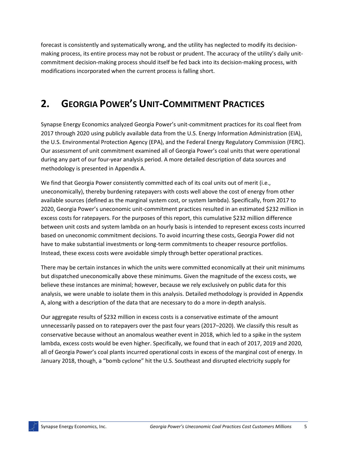forecast is consistently and systematically wrong, and the utility has neglected to modify its decisionmaking process, its entire process may not be robust or prudent. The accuracy of the utility's daily unitcommitment decision-making process should itself be fed back into its decision-making process, with modifications incorporated when the current process is falling short.

### **2. GEORGIA POWER'S UNIT-COMMITMENT PRACTICES**

Synapse Energy Economics analyzed Georgia Power's unit-commitment practices for its coal fleet from 2017 through 2020 using publicly available data from the U.S. Energy Information Administration (EIA), the U.S. Environmental Protection Agency (EPA), and the Federal Energy Regulatory Commission (FERC). Our assessment of unit commitment examined all of Georgia Power's coal units that were operational during any part of our four-year analysis period. A more detailed description of data sources and methodology is presented in [Appendix A.](#page-19-0)

We find that Georgia Power consistently committed each of its coal units out of merit (i.e., uneconomically), thereby burdening ratepayers with costs well above the cost of energy from other available sources (defined as the marginal system cost, or system lambda). Specifically, from 2017 to 2020, Georgia Power's uneconomic unit-commitment practices resulted in an estimated \$232 million in excess costs for ratepayers. For the purposes of this report, this cumulative \$232 million difference between unit costs and system lambda on an hourly basis is intended to represent excess costs incurred based on uneconomic commitment decisions. To avoid incurring these costs, Georgia Power did not have to make substantial investments or long-term commitments to cheaper resource portfolios. Instead, these excess costs were avoidable simply through better operational practices.

There may be certain instances in which the units were committed economically at their unit minimums but dispatched uneconomically above these minimums. Given the magnitude of the excess costs, we believe these instances are minimal; however, because we rely exclusively on public data for this analysis, we were unable to isolate them in this analysis. Detailed methodology is provided in [Appendix](#page-19-0)  [A,](#page-19-0) along with a description of the data that are necessary to do a more in-depth analysis.

Our aggregate results of \$232 million in excess costs is a conservative estimate of the amount unnecessarily passed on to ratepayers over the past four years (2017–2020). We classify this result as conservative because without an anomalous weather event in 2018, which led to a spike in the system lambda, excess costs would be even higher. Specifically, we found that in each of 2017, 2019 and 2020, all of Georgia Power's coal plants incurred operational costs in excess of the marginal cost of energy. In January 2018, though, a "bomb cyclone" hit the U.S. Southeast and disrupted electricity supply for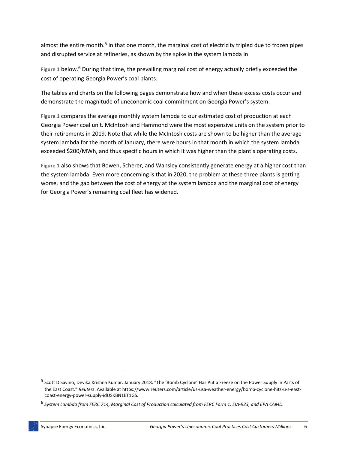almost the entire month.<sup>5</sup> In that one month, the marginal cost of electricity tripled due to frozen pipes and disrupted service at refineries, as shown by the spike in the system lambda in

[Figure](#page-8-0) 1 below.<sup>6</sup> During that time, the prevailing marginal cost of energy actually briefly exceeded the cost of operating Georgia Power's coal plants.

The tables and charts on the following pages demonstrate how and when these excess costs occur and demonstrate the magnitude of uneconomic coal commitment on Georgia Power's system.

**[Figure 1](#page-8-0)** compares the average monthly system lambda to our estimated cost of production at each Georgia Power coal unit. McIntosh and Hammond were the most expensive units on the system prior to their retirements in 2019. Note that while the McIntosh costs are shown to be higher than the average system lambda for the month of January, there were hours in that month in which the system lambda exceeded \$200/MWh, and thus specific hours in which it was higher than the plant's operating costs[.](#page-8-0)

<span id="page-8-0"></span>**[Figure 1](#page-8-0)** also shows that Bowen, Scherer, and Wansley consistently generate energy at a higher cost than the system lambda. Even more concerning is that in 2020, the problem at these three plants is getting worse, and the gap between the cost of energy at the system lambda and the marginal cost of energy for Georgia Power's remaining coal fleet has widened.

<sup>&</sup>lt;sup>5</sup> Scott DiSavino, Devika Krishna Kumar. January 2018. "The 'Bomb Cyclone' Has Put a Freeze on the Power Supply in Parts of the East Coast." *Reuters*. Available at https://www.reuters.com/article/us-usa-weather-energy/bomb-cyclone-hits-u-s-eastcoast-energy-power-supply-idUSKBN1ET1GS.

<sup>6</sup> *System Lambda from FERC 714, Marginal Cost of Production calculated from FERC Form 1, EIA-923, and EPA CAMD.*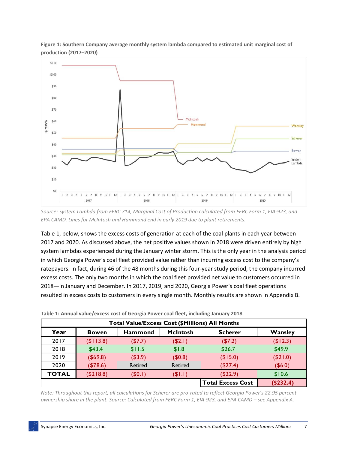

**Figure 1: Southern Company average monthly system lambda compared to estimated unit marginal cost of production (2017–2020)**

*Source: System Lambda from FERC 714, Marginal Cost of Production calculated from FERC Form 1, EIA-923, and EPA CAMD. Lines for McIntosh and Hammond end in early 2019 due to plant retirements.*

[Table 1,](#page-9-0) below, shows the excess costs of generation at each of the coal plants in each year between 2017 and 2020. As discussed above, the net positive values shown in 2018 were driven entirely by high system lambdas experienced during the January winter storm. This is the only year in the analysis period in which Georgia Power's coal fleet provided value rather than incurring excess cost to the company's ratepayers. In fact, during 46 of the 48 months during this four-year study period, the company incurred excess costs. The only two months in which the coal fleet provided net value to customers occurred in 2018—in January and December. In 2017, 2019, and 2020, Georgia Power's coal fleet operations resulted in excess costs to customers in every single month. Monthly results are shown in Appendix B.

<span id="page-9-0"></span>

| Total Value/Excess Cost (\$Millions) All Months |              |                |                 |                          |             |  |  |  |  |
|-------------------------------------------------|--------------|----------------|-----------------|--------------------------|-------------|--|--|--|--|
| Year                                            | <b>Bowen</b> | <b>Hammond</b> | <b>McIntosh</b> | <b>Scherer</b>           | Wansley     |  |  |  |  |
| 2017                                            | (\$I13.8)    | (\$7.7)        | $($ \$2.1)      | (\$7.2)                  | (\$12.3)    |  |  |  |  |
| 2018                                            | \$43.4       | \$11.5         | \$1.8           | \$26.7                   | \$49.9      |  |  |  |  |
| 2019                                            | (\$69.8)     | (\$3.9)        | $($ \$0.8)      | (\$15.0)                 | $($ \$21.0) |  |  |  |  |
| 2020                                            | (\$78.6)     | Retired        | Retired         | (\$27.4)                 | $($ \$6.0)  |  |  |  |  |
| <b>TOTAL</b>                                    | (\$218.8)    | (\$0.1)        | $($ \$1.1)      | (\$22.9)                 | \$10.6      |  |  |  |  |
|                                                 |              |                |                 | <b>Total Excess Cost</b> | (\$232.4)   |  |  |  |  |

*Note: Throughout this report, all calculations for Scherer are pro-rated to reflect Georgia Power's 22.95 percent ownership share in the plant. Source: Calculated from FERC Form 1, EIA-923, and EPA CAMD – se[e Appendix A.](#page-19-0)*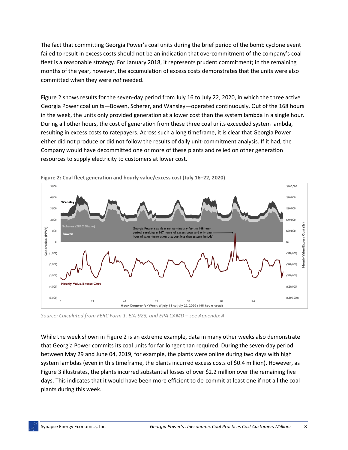The fact that committing Georgia Power's coal units during the brief period of the bomb cyclone event failed to result in excess costs should not be an indication that overcommitment of the company's coal fleet is a reasonable strategy. For January 2018, it represents prudent commitment; in the remaining months of the year, however, the accumulation of excess costs demonstrates that the units were also committed when they were *not* needed.

[Figure 2](#page-10-0) shows results for the seven-day period from July 16 to July 22, 2020, in which the three active Georgia Power coal units—Bowen, Scherer, and Wansley—operated continuously. Out of the 168 hours in the week, the units only provided generation at a lower cost than the system lambda in a single hour. During all other hours, the cost of generation from these three coal units exceeded system lambda, resulting in excess costs to ratepayers. Across such a long timeframe, it is clear that Georgia Power either did not produce or did not follow the results of daily unit-commitment analysis. If it had, the Company would have decommitted one or more of these plants and relied on other generation resources to supply electricity to customers at lower cost.



<span id="page-10-0"></span>**Figure 2: Coal fleet generation and hourly value/excess cost (July 16–22, 2020)**

*Source: Calculated from FERC Form 1, EIA-923, and EPA CAMD – see [Appendix A.](#page-19-0)* 

While the week shown in [Figure 2](#page-10-0) is an extreme example, data in many other weeks also demonstrate that Georgia Power commits its coal units for far longer than required. During the seven-day period between May 29 and June 04, 2019, for example, the plants were online during two days with high system lambdas (even in this timeframe, the plants incurred excess costs of \$0.4 million). However, as [Figure 3](#page-11-0) illustrates, the plants incurred substantial losses of over \$2.2 million over the remaining five days. This indicates that it would have been more efficient to de-commit at least one if not all the coal plants during this week.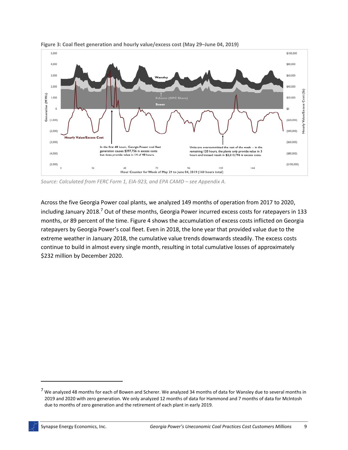

<span id="page-11-0"></span>**Figure 3: Coal fleet generation and hourly value/excess cost (May 29–June 04, 2019)**

*Source: Calculated from FERC Form 1, EIA-923, and EPA CAMD – see [Appendix A.](#page-19-0)*

Across the five Georgia Power coal plants, we analyzed 149 months of operation from 2017 to 2020, including January 2018.<sup>7</sup> Out of these months, Georgia Power incurred excess costs for ratepayers in 133 months, or 89 percent of the time. [Figure 4](#page-12-0) shows the accumulation of excess costs inflicted on Georgia ratepayers by Georgia Power's coal fleet. Even in 2018, the lone year that provided value due to the extreme weather in January 2018, the cumulative value trends downwards steadily. The excess costs continue to build in almost every single month, resulting in total cumulative losses of approximately \$232 million by December 2020.

 $<sup>7</sup>$  We analyzed 48 months for each of Bowen and Scherer. We analyzed 34 months of data for Wansley due to several months in</sup> 2019 and 2020 with zero generation. We only analyzed 12 months of data for Hammond and 7 months of data for McIntosh due to months of zero generation and the retirement of each plant in early 2019.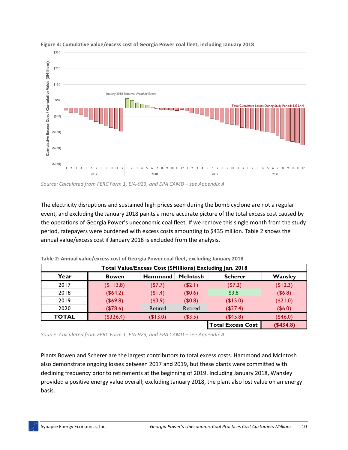

#### <span id="page-12-0"></span>**Figure 4: Cumulative value/excess cost of Georgia Power coal fleet, including January 2018**

*Source: Calculated from FERC Form 1, EIA-923, and EPA CAMD – see [Appendix A.](#page-19-0)* 

The electricity disruptions and sustained high prices seen during the bomb cyclone are not a regular event, and excluding the January 2018 paints a more accurate picture of the total excess cost caused by the operations of Georgia Power's uneconomic coal fleet. If we remove this single month from the study period, ratepayers were burdened with excess costs amounting to \$435 million. [Table 2](#page-12-1) shows the annual value/excess cost if January 2018 is excluded from the analysis.

<span id="page-12-1"></span>

| Total Value/Excess Cost (\$Millions) Excluding Jan. 2018 |              |                |                 |                          |             |  |  |  |  |
|----------------------------------------------------------|--------------|----------------|-----------------|--------------------------|-------------|--|--|--|--|
| Year                                                     | <b>Bowen</b> | <b>Hammond</b> | <b>McIntosh</b> | <b>Scherer</b>           | Wansley     |  |  |  |  |
| 2017                                                     | (\$113.8)    | (\$7.7)        | (42.1)          | ( \$7.2)                 | (\$12.3)    |  |  |  |  |
| 2018                                                     | (\$64.2)     | (\$1.4)        | (\$0.6)         | \$3.8                    | (\$6.8)     |  |  |  |  |
| 2019                                                     | $($ \$69.8)  | $($ \$3.9)     | (40.8)          | (\$15.0)                 | $($ \$21.0) |  |  |  |  |
| 2020                                                     | (\$78.6)     | Retired        | Retired         | (\$27.4)                 | $($ \$6.0)  |  |  |  |  |
| <b>TOTAL</b>                                             | (\$326.4)    | (\$13.0)       | (\$3.5)         | (\$45.8)                 | (\$46.0)    |  |  |  |  |
|                                                          |              |                |                 | <b>Total Excess Cost</b> | ( \$434.8)  |  |  |  |  |

**Table 2: Annual value/excess cost of Georgia Power coal fleet, excluding January 2018**

*Source: Calculated from FERC Form 1, EIA-923, and EPA CAMD – see [Appendix A.](#page-19-0)*

Plants Bowen and Scherer are the largest contributors to total excess costs. Hammond and McIntosh also demonstrate ongoing losses between 2017 and 2019, but these plants were committed with declining frequency prior to retirements at the beginning of 2019. Including January 2018, Wansley provided a positive energy value overall; excluding January 2018, the plant also lost value on an energy basis.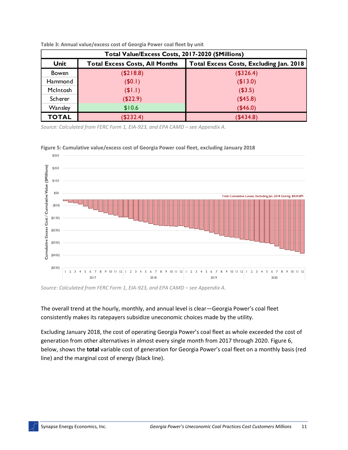| Total Value/Excess Costs, 2017-2020 (\$Millions) |                                         |                     |  |  |  |  |  |  |
|--------------------------------------------------|-----------------------------------------|---------------------|--|--|--|--|--|--|
| <b>Unit</b>                                      | Total Excess Costs, Excluding Jan. 2018 |                     |  |  |  |  |  |  |
| <b>Bowen</b>                                     | (\$218.8)                               | (\$326.4)           |  |  |  |  |  |  |
| Hammond                                          | (\$0.1)                                 | (\$13.0)<br>(\$3.5) |  |  |  |  |  |  |
| McIntosh                                         | $($ \$1.1)                              |                     |  |  |  |  |  |  |
| Scherer                                          | (\$22.9)                                | (\$45.8)            |  |  |  |  |  |  |
| <b>Wansley</b>                                   | \$10.6                                  | (\$46.0)            |  |  |  |  |  |  |
| <b>TOTAL</b>                                     | (\$232.4)                               | (\$434.8)           |  |  |  |  |  |  |

**Table 3: Annual value/excess cost of Georgia Power coal fleet by unit**

*Source: Calculated from FERC Form 1, EIA-923, and EPA CAMD – see [Appendix A.](#page-19-0)* 





*Source: Calculated from FERC Form 1, EIA-923, and EPA CAMD – see [Appendix A.](#page-19-0)* 

The overall trend at the hourly, monthly, and annual level is clear—Georgia Power's coal fleet consistently makes its ratepayers subsidize uneconomic choices made by the utility.

Excluding January 2018, the cost of operating Georgia Power's coal fleet as whole exceeded the cost of generation from other alternatives in almost every single month from 2017 through 2020. [Figure 6,](#page-14-1) below, shows the **total** variable cost of generation for Georgia Power's coal fleet on a monthly basis (red line) and the marginal cost of energy (black line).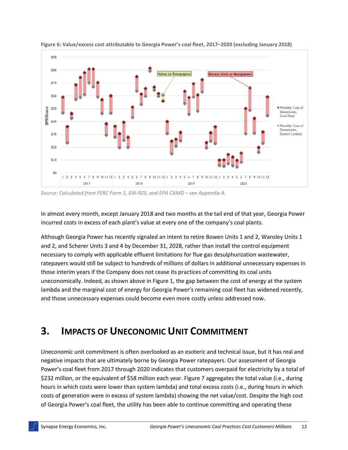

<span id="page-14-1"></span>**Figure 6: Value/excess cost attributable to Georgia Power's coal fleet, 2017–2020 (excluding January 2018)**

*Source: Calculated from FERC Form 1, EIA-923, and EPA CAMD – see [Appendix A.](#page-19-0)* 

In almost every month, except January 2018 and two months at the tail end of that year, Georgia Power incurred costs in excess of each plant's value at every one of the company's coal plants.

Although Georgia Power has recently signaled an intent to retire Bowen Units 1 and 2, Wansley Units 1 and 2, and Scherer Units 3 and 4 by December 31, 2028, rather than install the control equipment necessary to comply with applicable effluent limitations for flue gas desulphurization wastewater, ratepayers would still be subject to hundreds of millions of dollars in additional unnecessary expenses in those interim years if the Company does not cease its practices of committing its coal units uneconomically. Indeed, as shown above in Figure 1, the gap between the cost of energy at the system lambda and the marginal cost of energy for Georgia Power's remaining coal fleet has widened recently, and those unnecessary expenses could become even more costly unless addressed now.

### <span id="page-14-0"></span>**3. IMPACTS OF UNECONOMIC UNIT COMMITMENT**

Uneconomic unit commitment is often overlooked as an esoteric and technical issue, but it has real and negative impacts that are ultimately borne by Georgia Power ratepayers. Our assessment of Georgia Power's coal fleet from 2017 through 2020 indicates that customers overpaid for electricity by a total of \$232 million, or the equivalent of \$58 million each year. [Figure 7](#page-15-0) aggregates the total value (i.e., during hours in which costs were lower than system lambda) and total excess costs (i.e., during hours in which costs of generation were in excess of system lambda) showing the net value/cost. Despite the high cost of Georgia Power's coal fleet, the utility has been able to continue committing and operating these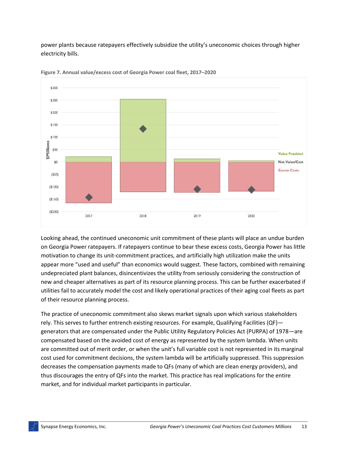power plants because ratepayers effectively subsidize the utility's uneconomic choices through higher electricity bills.



<span id="page-15-0"></span>**Figure 7. Annual value/excess cost of Georgia Power coal fleet, 2017–2020**

Looking ahead, the continued uneconomic unit commitment of these plants will place an undue burden on Georgia Power ratepayers. If ratepayers continue to bear these excess costs, Georgia Power has little motivation to change its unit-commitment practices, and artificially high utilization make the units appear more "used and useful" than economics would suggest. These factors, combined with remaining undepreciated plant balances, disincentivizes the utility from seriously considering the construction of new and cheaper alternatives as part of its resource planning process. This can be further exacerbated if utilities fail to accurately model the cost and likely operational practices of their aging coal fleets as part of their resource planning process.

The practice of uneconomic commitment also skews market signals upon which various stakeholders rely. This serves to further entrench existing resources. For example, Qualifying Facilities (QF) generators that are compensated under the Public Utility Regulatory Policies Act (PURPA) of 1978—are compensated based on the avoided cost of energy as represented by the system lambda. When units are committed out of merit order, or when the unit's full variable cost is not represented in its marginal cost used for commitment decisions, the system lambda will be artificially suppressed. This suppression decreases the compensation payments made to QFs (many of which are clean energy providers), and thus discourages the entry of QFs into the market. This practice has real implications for the entire market, and for individual market participants in particular.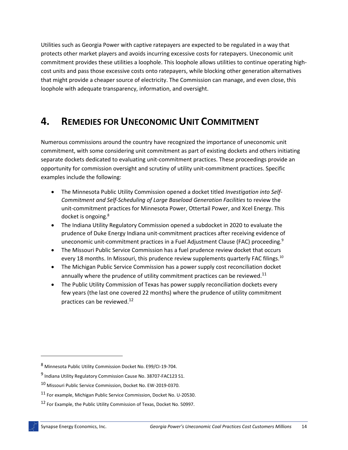Utilities such as Georgia Power with captive ratepayers are expected to be regulated in a way that protects other market players and avoids incurring excessive costs for ratepayers. Uneconomic unit commitment provides these utilities a loophole. This loophole allows utilities to continue operating highcost units and pass those excessive costs onto ratepayers, while blocking other generation alternatives that might provide a cheaper source of electricity. The Commission can manage, and even close, this loophole with adequate transparency, information, and oversight.

### <span id="page-16-0"></span>**4. REMEDIES FOR UNECONOMIC UNIT COMMITMENT**

Numerous commissions around the country have recognized the importance of uneconomic unit commitment, with some considering unit commitment as part of existing dockets and others initiating separate dockets dedicated to evaluating unit-commitment practices. These proceedings provide an opportunity for commission oversight and scrutiny of utility unit-commitment practices. Specific examples include the following:

- The Minnesota Public Utility Commission opened a docket titled *Investigation into Self-Commitment and Self-Scheduling of Large Baseload Generation Facilities* to review the unit-commitment practices for Minnesota Power, Ottertail Power, and Xcel Energy. This docket is ongoing.<sup>8</sup>
- The Indiana Utility Regulatory Commission opened a subdocket in 2020 to evaluate the prudence of Duke Energy Indiana unit-commitment practices after receiving evidence of uneconomic unit-commitment practices in a Fuel Adjustment Clause (FAC) proceeding.<sup>9</sup>
- The Missouri Public Service Commission has a fuel prudence review docket that occurs every 18 months. In Missouri, this prudence review supplements quarterly FAC filings.<sup>10</sup>
- The Michigan Public Service Commission has a power supply cost reconciliation docket annually where the prudence of utility commitment practices can be reviewed.<sup>11</sup>
- The Public Utility Commission of Texas has power supply reconciliation dockets every few years (the last one covered 22 months) where the prudence of utility commitment practices can be reviewed.<sup>12</sup>

<sup>8</sup> Minnesota Public Utility Commission Docket No. E99/CI-19-704.

<sup>&</sup>lt;sup>9</sup> Indiana Utility Regulatory Commission Cause No. 38707-FAC123 S1.

<sup>10</sup> Missouri Public Service Commission, Docket No. EW-2019-0370.

<sup>11</sup> For example, Michigan Public Service Commission, Docket No. U-20530.

<sup>12</sup> For Example, the Public Utility Commission of Texas, Docket No. 50997.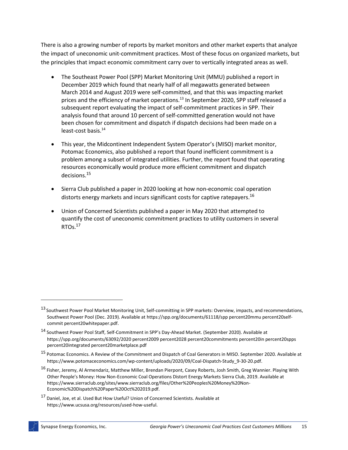There is also a growing number of reports by market monitors and other market experts that analyze the impact of uneconomic unit-commitment practices. Most of these focus on organized markets, but the principles that impact economic commitment carry over to vertically integrated areas as well.

- The Southeast Power Pool (SPP) Market Monitoring Unit (MMU) published a report in December 2019 which found that nearly half of all megawatts generated between March 2014 and August 2019 were self-committed, and that this was impacting market prices and the efficiency of market operations.<sup>13</sup> In September 2020, SPP staff released a subsequent report evaluating the impact of self-commitment practices in SPP. Their analysis found that around 10 percent of self-committed generation would not have been chosen for commitment and dispatch if dispatch decisions had been made on a least-cost basis.<sup>14</sup>
- This year, the Midcontinent Independent System Operator's (MISO) market monitor, Potomac Economics, also published a report that found inefficient commitment is a problem among a subset of integrated utilities. Further, the report found that operating resources economically would produce more efficient commitment and dispatch decisions.<sup>15</sup>
- Sierra Club published a paper in 2020 looking at how non-economic coal operation distorts energy markets and incurs significant costs for captive ratepayers.<sup>16</sup>
- Union of Concerned Scientists published a paper in May 2020 that attempted to quantify the cost of uneconomic commitment practices to utility customers in several RTOs.<sup>17</sup>

<sup>&</sup>lt;sup>13</sup> Southwest Power Pool Market Monitoring Unit, Self-committing in SPP markets: Overview, impacts, and recommendations, Southwest Power Pool (Dec. 2019). Available a[t https://spp.org/documents/61118/spp percent20mmu percent20self](https://spp.org/documents/61118/spp%20mmu%20self-commit%20whitepaper.pdf)[commit percent20whitepaper.pdf.](https://spp.org/documents/61118/spp%20mmu%20self-commit%20whitepaper.pdf)

<sup>14</sup> Southwest Power Pool Staff, Self-Commitment in SPP's Day-Ahead Market. (September 2020). Available at [https://spp.org/documents/63092/2020 percent2009 percent2028 percent20commitments percent20in percent20spps](https://spp.org/documents/63092/2020%2009%2028%20commitments%20in%20spps%20integrated%20marketplace.pdf)  [percent20integrated percent20marketplace.pdf](https://spp.org/documents/63092/2020%2009%2028%20commitments%20in%20spps%20integrated%20marketplace.pdf)

<sup>15</sup> Potomac Economics. A Review of the Commitment and Dispatch of Coal Generators in MISO. September 2020. Available at https://www.potomaceconomics.com/wp-content/uploads/2020/09/Coal-Dispatch-Study\_9-30-20.pdf.

<sup>&</sup>lt;sup>16</sup> Fisher, Jeremy, Al Armendariz, Matthew Miller, Brendan Pierpont, Casey Roberts, Josh Smith, Greg Wannier. Playing With Other People's Money: How Non-Economic Coal Operations Distort Energy Markets Sierra Club, 2019. Available at https://www.sierraclub.org/sites/www.sierraclub.org/files/Other%20Peoples%20Money%20Non-Economic%20Dispatch%20Paper%20Oct%202019.pdf.

<sup>17</sup> Daniel, Joe, et al. Used But How Useful? Union of Concerned Scientists. Available at https://www.ucsusa.org/resources/used-how-useful.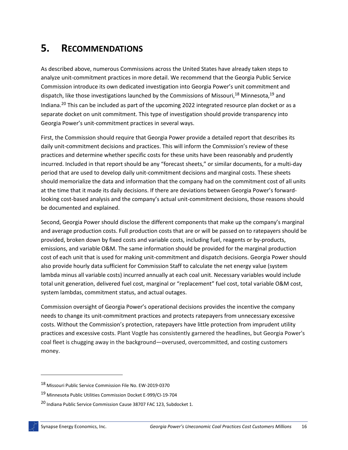### **5. RECOMMENDATIONS**

As described above, numerous Commissions across the United States have already taken steps to analyze unit-commitment practices in more detail. We recommend that the Georgia Public Service Commission introduce its own dedicated investigation into Georgia Power's unit commitment and dispatch, like those investigations launched by the Commissions of Missouri,  $^{18}$  Minnesota,  $^{19}$  and Indiana.<sup>20</sup> This can be included as part of the upcoming 2022 integrated resource plan docket or as a separate docket on unit commitment. This type of investigation should provide transparency into Georgia Power's unit-commitment practices in several ways.

First, the Commission should require that Georgia Power provide a detailed report that describes its daily unit-commitment decisions and practices. This will inform the Commission's review of these practices and determine whether specific costs for these units have been reasonably and prudently incurred. Included in that report should be any "forecast sheets," or similar documents, for a multi-day period that are used to develop daily unit-commitment decisions and marginal costs. These sheets should memorialize the data and information that the company had on the commitment cost of all units at the time that it made its daily decisions. If there are deviations between Georgia Power's forwardlooking cost-based analysis and the company's actual unit-commitment decisions, those reasons should be documented and explained.

Second, Georgia Power should disclose the different components that make up the company's marginal and average production costs. Full production costs that are or will be passed on to ratepayers should be provided, broken down by fixed costs and variable costs, including fuel, reagents or by-products, emissions, and variable O&M. The same information should be provided for the marginal production cost of each unit that is used for making unit-commitment and dispatch decisions. Georgia Power should also provide hourly data sufficient for Commission Staff to calculate the net energy value (system lambda minus all variable costs) incurred annually at each coal unit. Necessary variables would include total unit generation, delivered fuel cost, marginal or "replacement" fuel cost, total variable O&M cost, system lambdas, commitment status, and actual outages.

Commission oversight of Georgia Power's operational decisions provides the incentive the company needs to change its unit-commitment practices and protects ratepayers from unnecessary excessive costs. Without the Commission's protection, ratepayers have little protection from imprudent utility practices and excessive costs. Plant Vogtle has consistently garnered the headlines, but Georgia Power's coal fleet is chugging away in the background—overused, overcommitted, and costing customers money.

<sup>18</sup> Missouri Public Service Commission File No. EW-2019-0370

<sup>19</sup> Minnesota Public Utilities Commission Docket E-999/CI-19-704

<sup>20</sup> Indiana Public Service Commission Cause 38707 FAC 123, Subdocket 1.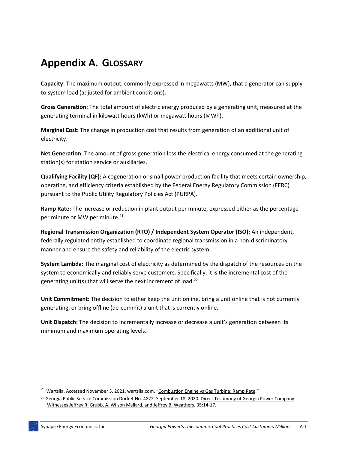# <span id="page-19-0"></span>**Appendix A. GLOSSARY**

**Capacity:** The maximum output, commonly expressed in megawatts (MW), that a generator can supply to system load (adjusted for ambient conditions).

**Gross Generation:** The total amount of electric energy produced by a generating unit, measured at the generating terminal in kilowatt hours (kWh) or megawatt hours (MWh).

**Marginal Cost:** The change in production cost that results from generation of an additional unit of electricity.

**Net Generation:** The amount of gross generation less the electrical energy consumed at the generating station(s) for station service or auxiliaries.

**Qualifying Facility (QF):** A cogeneration or small power production facility that meets certain ownership, operating, and efficiency criteria established by the Federal Energy Regulatory Commission (FERC) pursuant to the Public Utility Regulatory Policies Act (PURPA).

**Ramp Rate:** The increase or reduction in plant output per minute, expressed either as the percentage per minute or MW per minute.<sup>21</sup>

**Regional Transmission Organization (RTO) / Independent System Operator (ISO):** An independent, federally regulated entity established to coordinate regional transmission in a non-discriminatory manner and ensure the safety and reliability of the electric system.

**System Lambda:** The marginal cost of electricity as determined by the dispatch of the resources on the system to economically and reliably serve customers. Specifically, it is the incremental cost of the generating unit(s) that will serve the next increment of load.<sup>22</sup>

**Unit Commitment:** The decision to either keep the unit online, bring a unit online that is not currently generating, or bring offline (de-commit) a unit that is currently online.

**Unit Dispatch:** The decision to incrementally increase or decrease a unit's generation between its minimum and maximum operating levels.

<sup>&</sup>lt;sup>21</sup> Wartsila. Accessed November 3, 2021, wartsila.com. "[Combustion Engine vs Gas Turbine: Ramp Rate](https://www.wartsila.com/energy/learn-more/technical-comparisons/combustion-engine-vs-gas-turbine-ramp-rate)."

<sup>22</sup> Georgia Public Service Commission Docket No. 4822, September 18, 2020. [Direct Testimony of Georgia Power Company](https://psc.ga.gov/search/facts-document/?documentId=182529)  [Witnesses Jeffrey R. Grubb, A. Wilson Mallard, and Jeffrey B. Weathers,](https://psc.ga.gov/search/facts-document/?documentId=182529) 35:14-17.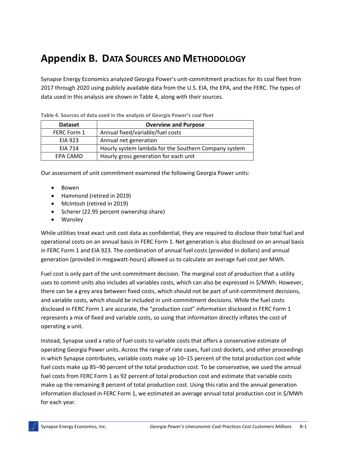# **Appendix B. DATA SOURCES AND METHODOLOGY**

Synapse Energy Economics analyzed Georgia Power's unit-commitment practices for its coal fleet from 2017 through 2020 using publicly available data from the U.S. EIA, the EPA, and the FERC. The types of data used in this analysis are shown in [Table 4,](#page-20-0) along with their sources.

| <b>Dataset</b> | <b>Overview and Purpose</b>                          |  |  |  |  |  |
|----------------|------------------------------------------------------|--|--|--|--|--|
| FERC Form 1    | Annual fixed/variable/fuel costs                     |  |  |  |  |  |
| EIA 923        | Annual net generation                                |  |  |  |  |  |
| <b>FIA 714</b> | Hourly system lambda for the Southern Company system |  |  |  |  |  |
| EPA CAMD       | Hourly gross generation for each unit                |  |  |  |  |  |

<span id="page-20-0"></span>**Table 4. Sources of data used in the analysis of Georgia Power's coal fleet**

Our assessment of unit commitment examined the following Georgia Power units:

- Bowen
- Hammond (retired in 2019)
- McIntosh (retired in 2019)
- Scherer (22.95 percent ownership share)
- Wansley

While utilities treat exact unit cost data as confidential, they are required to disclose their total fuel and operational costs on an annual basis in FERC Form 1. Net generation is also disclosed on an annual basis in FERC Form 1 and EIA 923. The combination of annual fuel costs (provided in dollars) and annual generation (provided in megawatt-hours) allowed us to calculate an average fuel cost per MWh.

Fuel cost is only part of the unit-commitment decision. The marginal cost of production that a utility uses to commit units also includes all variables costs, which can also be expressed in \$/MWh. However, there can be a grey area between fixed costs, which should not be part of unit-commitment decisions, and variable costs, which should be included in unit-commitment decisions. While the fuel costs disclosed in FERC Form 1 are accurate, the "production cost" information disclosed in FERC Form 1 represents a mix of fixed and variable costs, so using that information directly inflates the cost of operating a unit.

Instead, Synapse used a ratio of fuel costs to variable costs that offers a conservative estimate of operating Georgia Power units. Across the range of rate cases, fuel cost dockets, and other proceedings in which Synapse contributes, variable costs make up 10–15 percent of the total production cost while fuel costs make up 85–90 percent of the total production cost. To be conservative, we used the annual fuel costs from FERC Form 1 as 92 percent of total production cost and estimate that variable costs make up the remaining 8 percent of total production cost. Using this ratio and the annual generation information disclosed in FERC Form 1, we estimated an average annual total production cost in \$/MWh for each year.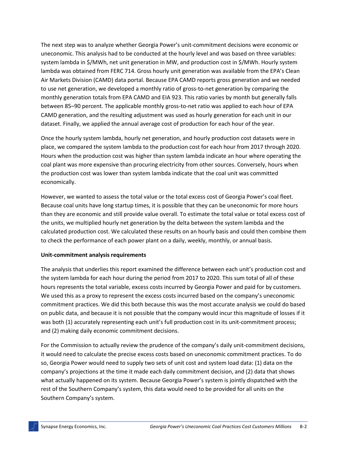The next step was to analyze whether Georgia Power's unit-commitment decisions were economic or uneconomic. This analysis had to be conducted at the hourly level and was based on three variables: system lambda in \$/MWh, net unit generation in MW, and production cost in \$/MWh. Hourly system lambda was obtained from FERC 714. Gross hourly unit generation was available from the EPA's Clean Air Markets Division (CAMD) data portal. Because EPA CAMD reports gross generation and we needed to use net generation, we developed a monthly ratio of gross-to-net generation by comparing the monthly generation totals from EPA CAMD and EIA 923. This ratio varies by month but generally falls between 85–90 percent. The applicable monthly gross-to-net ratio was applied to each hour of EPA CAMD generation, and the resulting adjustment was used as hourly generation for each unit in our dataset. Finally, we applied the annual average cost of production for each hour of the year.

Once the hourly system lambda, hourly net generation, and hourly production cost datasets were in place, we compared the system lambda to the production cost for each hour from 2017 through 2020. Hours when the production cost was higher than system lambda indicate an hour where operating the coal plant was more expensive than procuring electricity from other sources. Conversely, hours when the production cost was lower than system lambda indicate that the coal unit was committed economically.

However, we wanted to assess the total value or the total excess cost of Georgia Power's coal fleet. Because coal units have long startup times, it is possible that they can be uneconomic for more hours than they are economic and still provide value overall. To estimate the total value or total excess cost of the units, we multiplied hourly net generation by the delta between the system lambda and the calculated production cost. We calculated these results on an hourly basis and could then combine them to check the performance of each power plant on a daily, weekly, monthly, or annual basis.

#### **Unit-commitment analysis requirements**

The analysis that underlies this report examined the difference between each unit's production cost and the system lambda for each hour during the period from 2017 to 2020. This sum total of all of these hours represents the total variable, excess costs incurred by Georgia Power and paid for by customers. We used this as a proxy to represent the excess costs incurred based on the company's uneconomic commitment practices. We did this both because this was the most accurate analysis we could do based on public data, and because it is not possible that the company would incur this magnitude of losses if it was both (1) accurately representing each unit's full production cost in its unit-commitment process; and (2) making daily economic commitment decisions.

For the Commission to actually review the prudence of the company's daily unit-commitment decisions, it would need to calculate the precise excess costs based on uneconomic commitment practices. To do so, Georgia Power would need to supply two sets of unit cost and system load data: (1) data on the company's projections at the time it made each daily commitment decision, and (2) data that shows what actually happened on its system. Because Georgia Power's system is jointly dispatched with the rest of the Southern Company's system, this data would need to be provided for all units on the Southern Company's system.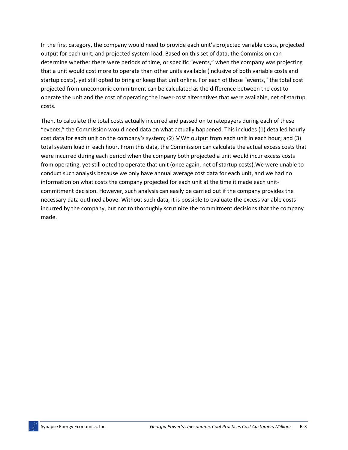In the first category, the company would need to provide each unit's projected variable costs, projected output for each unit, and projected system load. Based on this set of data, the Commission can determine whether there were periods of time, or specific "events," when the company was projecting that a unit would cost more to operate than other units available (inclusive of both variable costs and startup costs), yet still opted to bring or keep that unit online. For each of those "events," the total cost projected from uneconomic commitment can be calculated as the difference between the cost to operate the unit and the cost of operating the lower-cost alternatives that were available, net of startup costs.

Then, to calculate the total costs actually incurred and passed on to ratepayers during each of these "events," the Commission would need data on what actually happened. This includes (1) detailed hourly cost data for each unit on the company's system; (2) MWh output from each unit in each hour; and (3) total system load in each hour. From this data, the Commission can calculate the actual excess costs that were incurred during each period when the company both projected a unit would incur excess costs from operating, yet still opted to operate that unit (once again, net of startup costs).We were unable to conduct such analysis because we only have annual average cost data for each unit, and we had no information on what costs the company projected for each unit at the time it made each unitcommitment decision. However, such analysis can easily be carried out if the company provides the necessary data outlined above. Without such data, it is possible to evaluate the excess variable costs incurred by the company, but not to thoroughly scrutinize the commitment decisions that the company made.